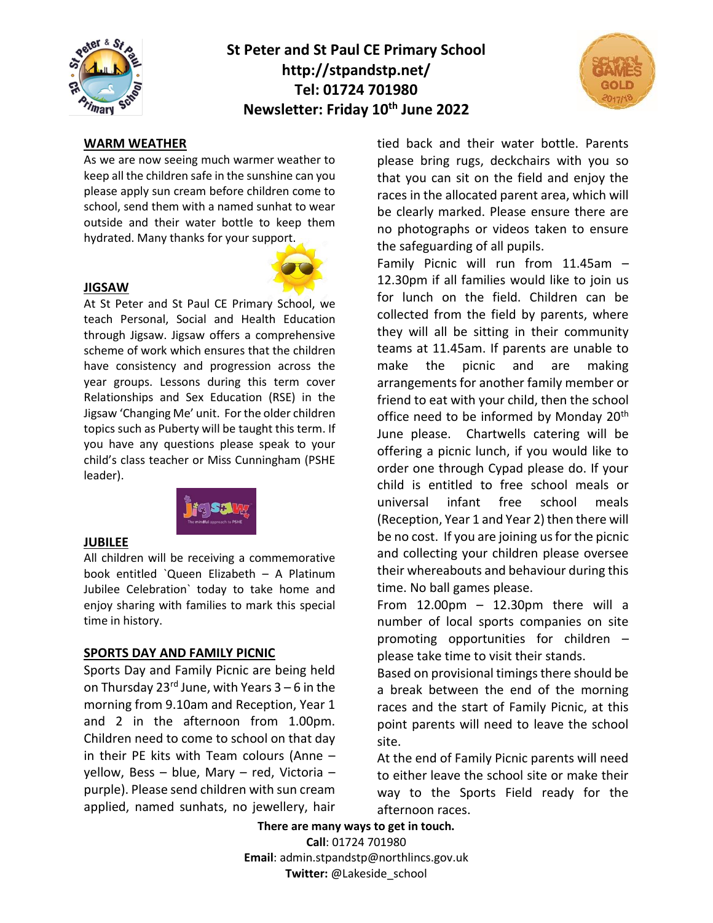

# **St Peter and St Paul CE Primary School http://stpandstp.net/ Tel: 01724 701980 Newsletter: Friday 10th June 2022**



### **WARM WEATHER**

As we are now seeing much warmer weather to keep all the children safe in the sunshine can you please apply sun cream before children come to school, send them with a named sunhat to wear outside and their water bottle to keep them hydrated. Many thanks for your support.



#### **JIGSAW**

At St Peter and St Paul CE Primary School, we teach Personal, Social and Health Education through Jigsaw. Jigsaw offers a comprehensive scheme of work which ensures that the children have consistency and progression across the year groups. Lessons during this term cover Relationships and Sex Education (RSE) in the Jigsaw 'Changing Me' unit. For the older children topics such as Puberty will be taught this term. If you have any questions please speak to your child's class teacher or Miss Cunningham (PSHE leader).



#### **JUBILEE**

All children will be receiving a commemorative book entitled `Queen Elizabeth – A Platinum Jubilee Celebration` today to take home and enjoy sharing with families to mark this special time in history.

#### **SPORTS DAY AND FAMILY PICNIC**

Sports Day and Family Picnic are being held on Thursday 23<sup>rd</sup> June, with Years  $3 - 6$  in the morning from 9.10am and Reception, Year 1 and 2 in the afternoon from 1.00pm. Children need to come to school on that day in their PE kits with Team colours (Anne – yellow, Bess – blue, Mary – red, Victoria – purple). Please send children with sun cream applied, named sunhats, no jewellery, hair

tied back and their water bottle. Parents please bring rugs, deckchairs with you so that you can sit on the field and enjoy the races in the allocated parent area, which will be clearly marked. Please ensure there are no photographs or videos taken to ensure the safeguarding of all pupils.

Family Picnic will run from 11.45am – 12.30pm if all families would like to join us for lunch on the field. Children can be collected from the field by parents, where they will all be sitting in their community teams at 11.45am. If parents are unable to make the picnic and are making arrangements for another family member or friend to eat with your child, then the school office need to be informed by Monday 20<sup>th</sup> June please. Chartwells catering will be offering a picnic lunch, if you would like to order one through Cypad please do. If your child is entitled to free school meals or universal infant free school meals (Reception, Year 1 and Year 2) then there will be no cost. If you are joining us for the picnic and collecting your children please oversee their whereabouts and behaviour during this time. No ball games please.

From  $12.00 \text{pm} - 12.30 \text{pm}$  there will a number of local sports companies on site promoting opportunities for children – please take time to visit their stands.

Based on provisional timings there should be a break between the end of the morning races and the start of Family Picnic, at this point parents will need to leave the school site.

At the end of Family Picnic parents will need to either leave the school site or make their way to the Sports Field ready for the afternoon races.

**There are many ways to get in touch. Call**: 01724 701980 **Email**: admin.stpandstp@northlincs.gov.uk **Twitter:** @Lakeside\_school